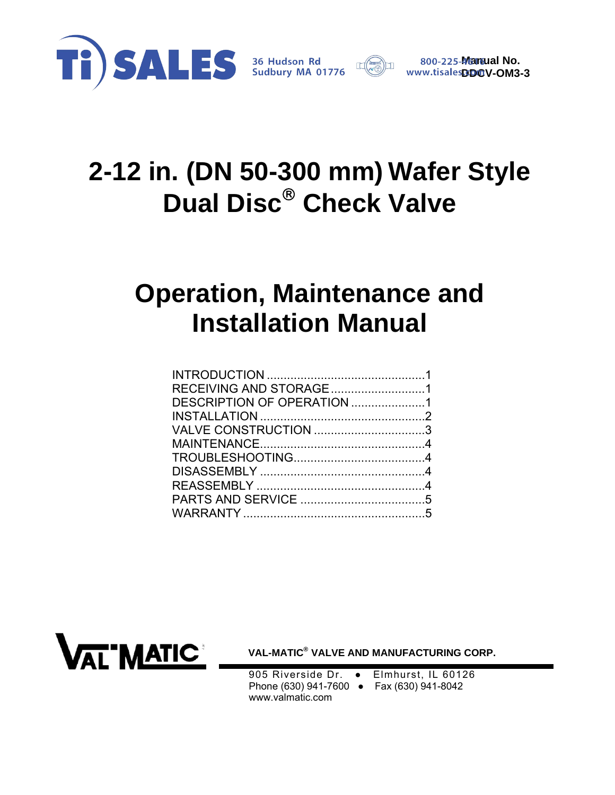

# **2-12 in. (DN 50-300 mm) Wafer Style Dual Disc<sup>®</sup> Check Valve**

# **Operation, Maintenance and Installation Manual**

| RECEIVING AND STORAGE1 |  |
|------------------------|--|
|                        |  |
|                        |  |
|                        |  |
|                        |  |
|                        |  |
|                        |  |
|                        |  |
|                        |  |
|                        |  |
|                        |  |



**VAL-MATIC® VALVE AND MANUFACTURING CORP.** 

905 Riverside Dr. • Elmhurst, IL 60126 Phone (630) 941-7600 ● Fax (630) 941-8042 www.valmatic.com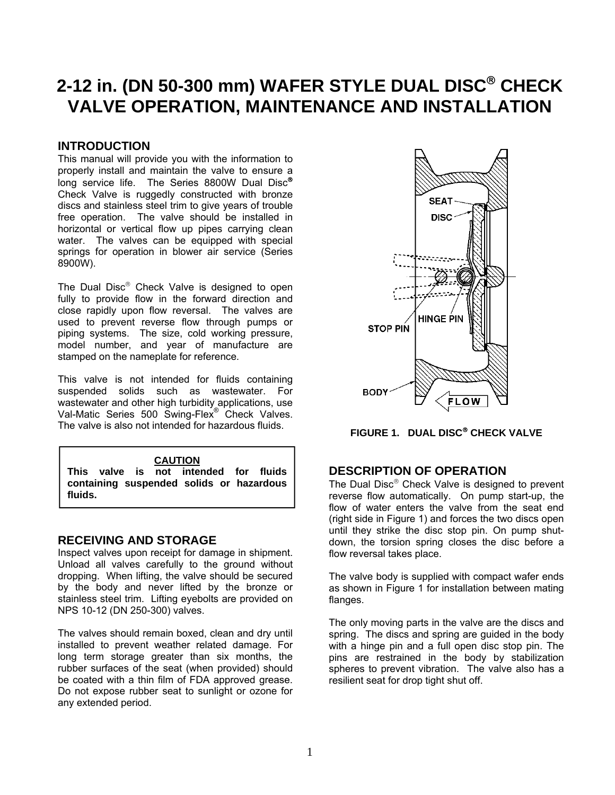# <span id="page-1-0"></span>2-12 in. (DN 50-300 mm) WAFER STYLE DUAL DISC<sup>®</sup> CHECK **VALVE OPERATION, MAINTENANCE AND INSTALLATION**

# **INTRODUCTION**

This manual will provide you with the information to properly install and maintain the valve to ensure a long service life. The Series 8800W Dual Disc® Check Valve is ruggedly constructed with bronze discs and stainless steel trim to give years of trouble free operation. The valve should be installed in horizontal or vertical flow up pipes carrying clean water. The valves can be equipped with special springs for operation in blower air service (Series 8900W).

The Dual Disc® Check Valve is designed to open fully to provide flow in the forward direction and close rapidly upon flow reversal. The valves are used to prevent reverse flow through pumps or piping systems. The size, cold working pressure, model number, and year of manufacture are stamped on the nameplate for reference.

This valve is not intended for fluids containing suspended solids such as wastewater. For wastewater and other high turbidity applications, use Val-Matic Series 500 Swing-Flex<sup>®</sup> Check Valves. The valve is also not intended for hazardous fluids.

#### **CAUTION**

**This valve is not intended for fluids containing suspended solids or hazardous fluids.** 

### **RECEIVING AND STORAGE**

Inspect valves upon receipt for damage in shipment. Unload all valves carefully to the ground without dropping. When lifting, the valve should be secured by the body and never lifted by the bronze or stainless steel trim. Lifting eyebolts are provided on NPS 10-12 (DN 250-300) valves.

The valves should remain boxed, clean and dry until installed to prevent weather related damage. For long term storage greater than six months, the rubber surfaces of the seat (when provided) should be coated with a thin film of FDA approved grease. Do not expose rubber seat to sunlight or ozone for any extended period.



**FIGURE 1. DUAL DISC® CHECK VALVE** 

# **DESCRIPTION OF OPERATION**

The Dual Disc $<sup>®</sup>$  Check Valve is designed to prevent</sup> reverse flow automatically. On pump start-up, the flow of water enters the valve from the seat end (right side in Figure 1) and forces the two discs open until they strike the disc stop pin. On pump shutdown, the torsion spring closes the disc before a flow reversal takes place.

The valve body is supplied with compact wafer ends as shown in Figure 1 for installation between mating flanges.

The only moving parts in the valve are the discs and spring. The discs and spring are guided in the body with a hinge pin and a full open disc stop pin. The pins are restrained in the body by stabilization spheres to prevent vibration. The valve also has a resilient seat for drop tight shut off.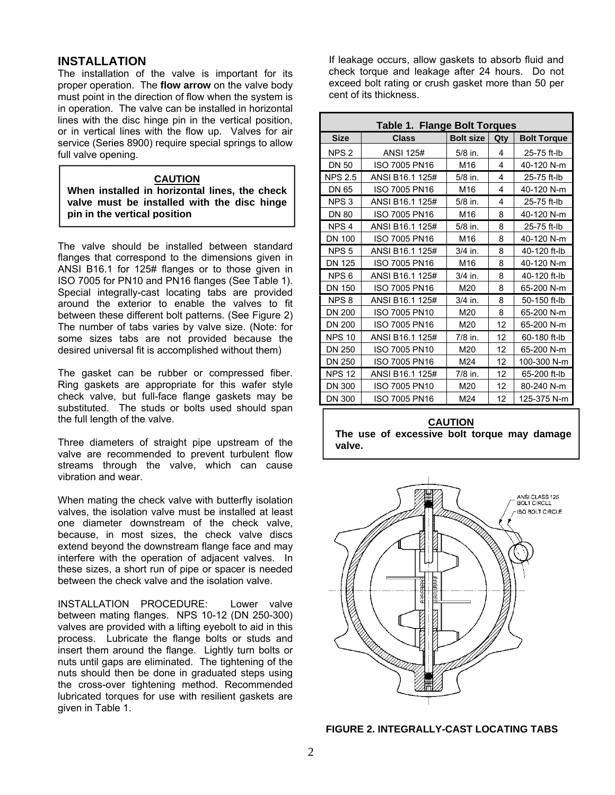# <span id="page-2-0"></span>**INSTALLATION**

The installation of the valve is important for its proper operation. The **flow arrow** on the valve body must point in the direction of flow when the system is in operation. The valve can be installed in horizontal lines with the disc hinge pin in the vertical position, or in vertical lines with the flow up. Valves for air service (Series 8900) require special springs to allow full valve opening.

#### **CAUTION**

**When installed in horizontal lines, the check valve must be installed with the disc hinge pin in the vertical position** 

The valve should be installed between standard flanges that correspond to the dimensions given in ANSI B16.1 for 125# flanges or to those given in ISO 7005 for PN10 and PN16 flanges (See Table 1). Special integrally-cast locating tabs are provided around the exterior to enable the valves to fit between these different bolt patterns. (See Figure 2) The number of tabs varies by valve size. (Note: for some sizes tabs are not provided because the desired universal fit is accomplished without them)

The gasket can be rubber or compressed fiber. Ring gaskets are appropriate for this wafer style check valve, but full-face flange gaskets may be substituted. The studs or bolts used should span the full length of the valve.

Three diameters of straight pipe upstream of the valve are recommended to prevent turbulent flow streams through the valve, which can cause vibration and wear.

When mating the check valve with butterfly isolation valves, the isolation valve must be installed at least one diameter downstream of the check valve, because, in most sizes, the check valve discs extend beyond the downstream flange face and may interfere with the operation of adjacent valves. In these sizes, a short run of pipe or spacer is needed between the check valve and the isolation valve.

INSTALLATION PROCEDURE: Lower valve between mating flanges. NPS 10-12 (DN 250-300) valves are provided with a lifting eyebolt to aid in this process. Lubricate the flange bolts or studs and insert them around the flange. Lightly turn bolts or nuts until gaps are eliminated. The tightening of the nuts should then be done in graduated steps using the cross-over tightening method. Recommended lubricated torques for use with resilient gaskets are given in Table 1.

If leakage occurs, allow gaskets to absorb fluid and check torque and leakage after 24 hours. Do not exceed bolt rating or crush gasket more than 50 per cent of its thickness.

| <b>Table 1. Flange Bolt Torques</b> |                      |                  |     |                    |  |
|-------------------------------------|----------------------|------------------|-----|--------------------|--|
| <b>Size</b>                         | <b>Class</b>         | <b>Bolt size</b> | Qty | <b>Bolt Torque</b> |  |
| NPS <sub>2</sub>                    | <b>ANSI 125#</b>     | $5/8$ in.        | 4   | 25-75 ft-lb        |  |
| <b>DN 50</b>                        | ISO 7005 PN16        | M16              | 4   | 40-120 N-m         |  |
| <b>NPS 2.5</b>                      | ANSI B16.1 125#      | $5/8$ in.        | 4   | 25-75 ft-lb        |  |
| <b>DN 65</b>                        | ISO 7005 PN16        | M16              | 4   | 40-120 N-m         |  |
| NPS <sub>3</sub>                    | ANSI B16.1 125#      | $5/8$ in.        | 4   | 25-75 ft-lb        |  |
| <b>DN 80</b>                        | ISO 7005 PN16        | M16              | 8   | 40-120 N-m         |  |
| NPS <sub>4</sub>                    | ANSI B16.1 125#      | $5/8$ in.        | 8   | 25-75 ft-lb        |  |
| <b>DN 100</b>                       | <b>ISO 7005 PN16</b> | M16              | 8   | 40-120 N-m         |  |
| NPS <sub>5</sub>                    | ANSI B16.1 125#      | $3/4$ in.        | 8   | 40-120 ft-lb       |  |
| <b>DN 125</b>                       | ISO 7005 PN16        | M16              | 8   | 40-120 N-m         |  |
| NPS <sub>6</sub>                    | ANSI B16.1 125#      | $3/4$ in.        | 8   | 40-120 ft-lb       |  |
| DN 150                              | <b>ISO 7005 PN16</b> | M20              | 8   | 65-200 N-m         |  |
| NPS <sub>8</sub>                    | ANSI B16.1 125#      | $3/4$ in.        | 8   | 50-150 ft-lb       |  |
| <b>DN 200</b>                       | ISO 7005 PN10        | M20              | 8   | 65-200 N-m         |  |
| <b>DN 200</b>                       | ISO 7005 PN16        | M20              | 12  | 65-200 N-m         |  |
| <b>NPS 10</b>                       | ANSI B16.1 125#      | $7/8$ in.        | 12  | 60-180 ft-lb       |  |
| DN 250                              | ISO 7005 PN10        | M20              | 12  | 65-200 N-m         |  |
| DN 250                              | ISO 7005 PN16        | M24              | 12  | 100-300 N-m        |  |
| <b>NPS 12</b>                       | ANSI B16.1 125#      | $7/8$ in.        | 12  | 65-200 ft-lb       |  |
| <b>DN 300</b>                       | ISO 7005 PN10        | M20              | 12  | 80-240 N-m         |  |
| <b>DN 300</b>                       | ISO 7005 PN16        | M24              | 12  | 125-375 N-m        |  |

**CAUTION The use of excessive bolt torque may damage valve.** 



#### **FIGURE 2. INTEGRALLY-CAST LOCATING TABS**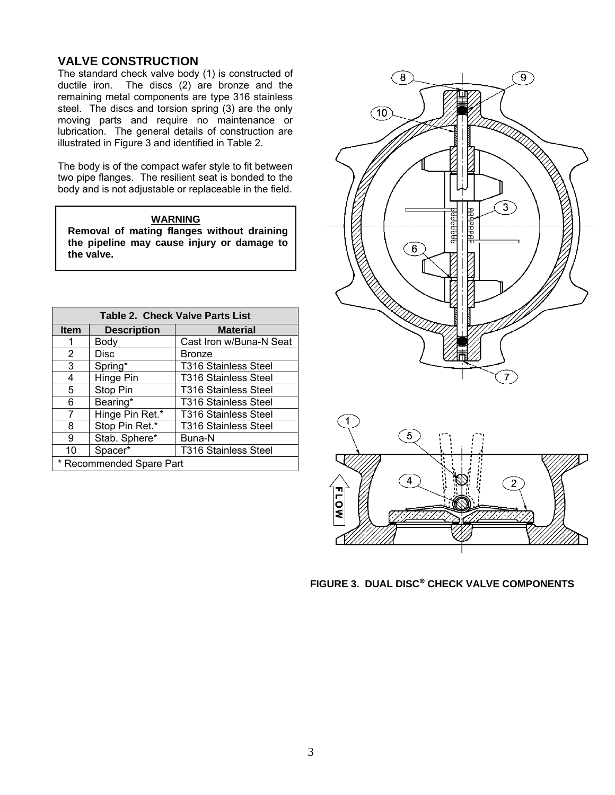# <span id="page-3-0"></span>**VALVE CONSTRUCTION**

The standard check valve body (1) is constructed of ductile iron. The discs (2) are bronze and the remaining metal components are type 316 stainless steel. The discs and torsion spring (3) are the only moving parts and require no maintenance or lubrication. The general details of construction are illustrated in Figure 3 and identified in Table 2.

The body is of the compact wafer style to fit between two pipe flanges. The resilient seat is bonded to the body and is not adjustable or replaceable in the field.

#### **WARNING**

**Removal of mating flanges without draining the pipeline may cause injury or damage to the valve.** 

| Table 2. Check Valve Parts List |                    |                             |  |  |  |
|---------------------------------|--------------------|-----------------------------|--|--|--|
| <b>Item</b>                     | <b>Description</b> | <b>Material</b>             |  |  |  |
| 1                               | Body               | Cast Iron w/Buna-N Seat     |  |  |  |
| 2                               | <b>Disc</b>        | <b>Bronze</b>               |  |  |  |
| 3                               | Spring*            | <b>T316 Stainless Steel</b> |  |  |  |
| 4                               | Hinge Pin          | <b>T316 Stainless Steel</b> |  |  |  |
| 5                               | Stop Pin           | <b>T316 Stainless Steel</b> |  |  |  |
| 6                               | Bearing*           | <b>T316 Stainless Steel</b> |  |  |  |
| 7                               | Hinge Pin Ret.*    | <b>T316 Stainless Steel</b> |  |  |  |
| 8                               | Stop Pin Ret.*     | <b>T316 Stainless Steel</b> |  |  |  |
| 9                               | Stab. Sphere*      | Buna-N                      |  |  |  |
| 10                              | Spacer*            | <b>T316 Stainless Steel</b> |  |  |  |
| * Recommended Spare Part        |                    |                             |  |  |  |





**FIGURE 3. DUAL DISC® CHECK VALVE COMPONENTS**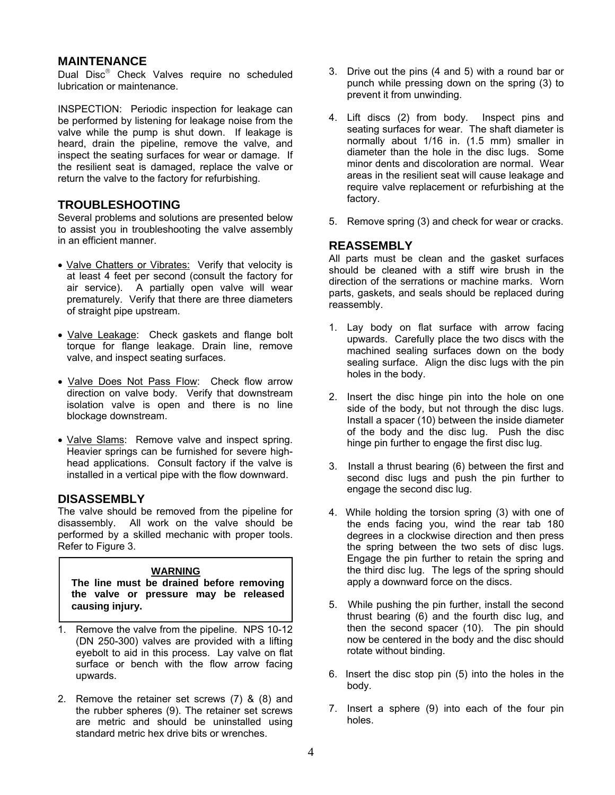# <span id="page-4-0"></span>**MAINTENANCE**

Dual Disc® Check Valves require no scheduled lubrication or maintenance.

INSPECTION: Periodic inspection for leakage can be performed by listening for leakage noise from the valve while the pump is shut down. If leakage is heard, drain the pipeline, remove the valve, and inspect the seating surfaces for wear or damage. If the resilient seat is damaged, replace the valve or return the valve to the factory for refurbishing.

# **TROUBLESHOOTING**

Several problems and solutions are presented below to assist you in troubleshooting the valve assembly in an efficient manner.

- Valve Chatters or Vibrates: Verify that velocity is at least 4 feet per second (consult the factory for air service). A partially open valve will wear prematurely. Verify that there are three diameters of straight pipe upstream.
- Valve Leakage: Check gaskets and flange bolt torque for flange leakage. Drain line, remove valve, and inspect seating surfaces.
- Valve Does Not Pass Flow: Check flow arrow direction on valve body. Verify that downstream isolation valve is open and there is no line blockage downstream.
- Valve Slams: Remove valve and inspect spring. Heavier springs can be furnished for severe highhead applications. Consult factory if the valve is installed in a vertical pipe with the flow downward.

# **DISASSEMBLY**

The valve should be removed from the pipeline for disassembly. All work on the valve should be performed by a skilled mechanic with proper tools. Refer to Figure 3.

#### **WARNING**

**The line must be drained before removing the valve or pressure may be released causing injury.** 

- 1. Remove the valve from the pipeline. NPS 10-12 (DN 250-300) valves are provided with a lifting eyebolt to aid in this process. Lay valve on flat surface or bench with the flow arrow facing upwards.
- 2. Remove the retainer set screws (7) & (8) and the rubber spheres (9). The retainer set screws are metric and should be uninstalled using standard metric hex drive bits or wrenches.
- 3. Drive out the pins (4 and 5) with a round bar or punch while pressing down on the spring (3) to prevent it from unwinding.
- 4. Lift discs (2) from body. Inspect pins and seating surfaces for wear. The shaft diameter is normally about 1/16 in. (1.5 mm) smaller in diameter than the hole in the disc lugs. Some minor dents and discoloration are normal. Wear areas in the resilient seat will cause leakage and require valve replacement or refurbishing at the factory.
- 5. Remove spring (3) and check for wear or cracks.

# **REASSEMBLY**

All parts must be clean and the gasket surfaces should be cleaned with a stiff wire brush in the direction of the serrations or machine marks. Worn parts, gaskets, and seals should be replaced during reassembly.

- 1. Lay body on flat surface with arrow facing upwards. Carefully place the two discs with the machined sealing surfaces down on the body sealing surface. Align the disc lugs with the pin holes in the body.
- 2. Insert the disc hinge pin into the hole on one side of the body, but not through the disc lugs. Install a spacer (10) between the inside diameter of the body and the disc lug. Push the disc hinge pin further to engage the first disc lug.
- 3. Install a thrust bearing (6) between the first and second disc lugs and push the pin further to engage the second disc lug.
- 4. While holding the torsion spring (3) with one of the ends facing you, wind the rear tab 180 degrees in a clockwise direction and then press the spring between the two sets of disc lugs. Engage the pin further to retain the spring and the third disc lug. The legs of the spring should apply a downward force on the discs.
- 5. While pushing the pin further, install the second thrust bearing (6) and the fourth disc lug, and then the second spacer (10). The pin should now be centered in the body and the disc should rotate without binding.
- 6. Insert the disc stop pin (5) into the holes in the body.
- 7. Insert a sphere (9) into each of the four pin holes.